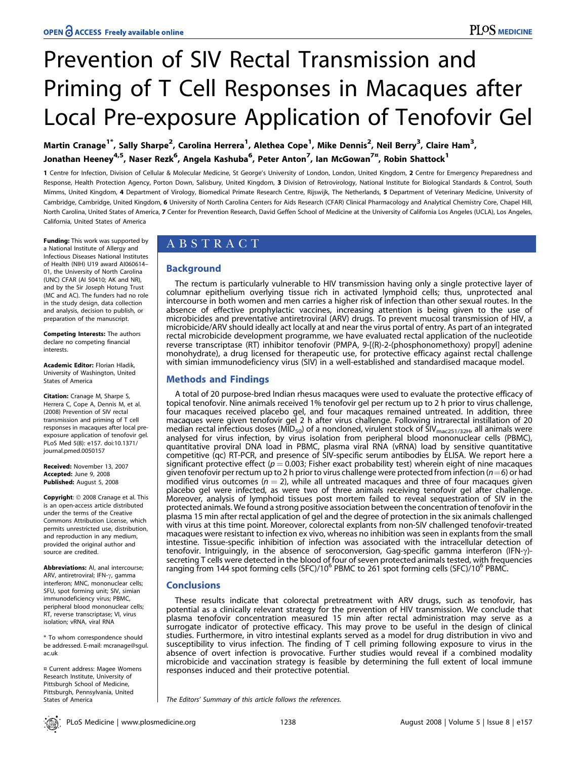# Prevention of SIV Rectal Transmission and Priming of T Cell Responses in Macaques after Local Pre-exposure Application of Tenofovir Gel

# Martin Cranage<sup>1\*</sup>, Sally Sharpe<sup>2</sup>, Carolina Herrera<sup>1</sup>, Alethea Cope<sup>1</sup>, Mike Dennis<sup>2</sup>, Neil Berry<sup>3</sup>, Claire Ham<sup>3</sup>, Jonathan Heeney<sup>4,5</sup>, Naser Rezk<sup>6</sup>, Angela Kashuba<sup>6</sup>, Peter Anton<sup>7</sup>, Ian McGowan<sup>7¤</sup>, Robin Shattock<sup>1</sup>

1 Centre for Infection, Division of Cellular & Molecular Medicine, St George's University of London, London, United Kingdom, 2 Centre for Emergency Preparedness and Response, Health Protection Agency, Porton Down, Salisbury, United Kingdom, 3 Division of Retrovirology, National Institute for Biological Standards & Control, South Mimms, United Kingdom, 4 Department of Virology, Biomedical Primate Research Centre, Rijswijk, The Netherlands, 5 Department of Veterinary Medicine, University of Cambridge, Cambridge, United Kingdom, 6 University of North Carolina Centers for Aids Research (CFAR) Clinical Pharmacology and Analytical Chemistry Core, Chapel Hill, North Carolina, United States of America, 7 Center for Prevention Research, David Geffen School of Medicine at the University of California Los Angeles (UCLA), Los Angeles, California, United States of America

Funding: This work was supported by a National Institute of Allergy and Infectious Diseases National Institutes of Health (NIH) U19 award AI060614– 01, the University of North Carolina (UNC) CFAR (AI 50410; AK and NR), and by the Sir Joseph Hotung Trust (MC and AC). The funders had no role in the study design, data collection and analysis, decision to publish, or preparation of the manuscript.

Competing Interests: The authors declare no competing financial interests.

Academic Editor: Florian Hladik, University of Washington, United States of America

Citation: Cranage M, Sharpe S, Herrera C, Cope A, Dennis M, et al. (2008) Prevention of SIV rectal transmission and priming of T cell responses in macaques after local preexposure application of tenofovir gel. PLoS Med 5(8): e157. doi:10.1371/ journal.pmed.0050157

Received: November 13, 2007 Accepted: June 9, 2008 Published: August 5, 2008

**Copyright**: © 2008 Cranage et al. This is an open-access article distributed under the terms of the Creative Commons Attribution License, which permits unrestricted use, distribution, and reproduction in any medium, provided the original author and source are credited.

Abbreviations: AL anal intercourse: ARV, antiretroviral; IFN- $\gamma$ , gamma interferon; MNC, mononuclear cells; SFU, spot forming unit; SIV, simian immunodeficiency virus; PBMC, peripheral blood mononuclear cells; RT, reverse transcriptase; VI, virus isolation; vRNA, viral RNA

\* To whom correspondence should be addressed. E-mail: mcranage@sgul. ac.uk

¤ Current address: Magee Womens Research Institute, University of Pittsburgh School of Medicine, Pittsburgh, Pennsylvania, United States of America

# ABSTRACT

## **Background**

The rectum is particularly vulnerable to HIV transmission having only a single protective layer of columnar epithelium overlying tissue rich in activated lymphoid cells; thus, unprotected anal intercourse in both women and men carries a higher risk of infection than other sexual routes. In the absence of effective prophylactic vaccines, increasing attention is being given to the use of microbicides and preventative antiretroviral (ARV) drugs. To prevent mucosal transmission of HIV, a microbicide/ARV should ideally act locally at and near the virus portal of entry. As part of an integrated rectal microbicide development programme, we have evaluated rectal application of the nucleotide reverse transcriptase (RT) inhibitor tenofovir (PMPA, 9-[(R)-2-(phosphonomethoxy) propyl] adenine monohydrate), a drug licensed for therapeutic use, for protective efficacy against rectal challenge with simian immunodeficiency virus (SIV) in a well-established and standardised macaque model.

## Methods and Findings

A total of 20 purpose-bred Indian rhesus macaques were used to evaluate the protective efficacy of topical tenofovir. Nine animals received 1% tenofovir gel per rectum up to 2 h prior to virus challenge, four macaques received placebo gel, and four macaques remained untreated. In addition, three macaques were given tenofovir gel 2 h after virus challenge. Following intrarectal instillation of 20 median rectal infectious doses (MID<sub>50</sub>) of a noncloned, virulent stock of  $\overline{S}$ IV<sub>mac251/32H</sub>, all animals were analysed for virus infection, by virus isolation from peripheral blood mononuclear cells (PBMC), quantitative proviral DNA load in PBMC, plasma viral RNA (vRNA) load by sensitive quantitative competitive (qc) RT-PCR, and presence of SIV-specific serum antibodies by ELISA. We report here a significant protective effect ( $p = 0.003$ ; Fisher exact probability test) wherein eight of nine macaques given tenofovir per rectum up to 2 h prior to virus challenge were protected from infection ( $n=6$ ) or had modified virus outcomes ( $n = 2$ ), while all untreated macaques and three of four macaques given placebo gel were infected, as were two of three animals receiving tenofovir gel after challenge. Moreover, analysis of lymphoid tissues post mortem failed to reveal sequestration of SIV in the protected animals. We found a strong positive association between the concentration of tenofovir in the plasma 15 min after rectal application of gel and the degree of protection in the six animals challenged with virus at this time point. Moreover, colorectal explants from non-SIV challenged tenofovir-treated macaques were resistant to infection ex vivo, whereas no inhibition was seen in explants from the small intestine. Tissue-specific inhibition of infection was associated with the intracellular detection of tenofovir. Intriguingly, in the absence of seroconversion, Gag-specific gamma interferon (IFN- $\gamma$ )secreting T cells were detected in the blood of four of seven protected animals tested, with frequencies ranging from 144 spot forming cells (SFC)/10<sup>6</sup> PBMC to 261 spot forming cells (SFC)/10<sup>6</sup> PBMC.

## Conclusions

These results indicate that colorectal pretreatment with ARV drugs, such as tenofovir, has potential as a clinically relevant strategy for the prevention of HIV transmission. We conclude that plasma tenofovir concentration measured 15 min after rectal administration may serve as a surrogate indicator of protective efficacy. This may prove to be useful in the design of clinical studies. Furthermore, in vitro intestinal explants served as a model for drug distribution in vivo and susceptibility to virus infection. The finding of T cell priming following exposure to virus in the absence of overt infection is provocative. Further studies would reveal if a combined modality microbicide and vaccination strategy is feasible by determining the full extent of local immune responses induced and their protective potential.

The Editors' Summary of this article follows the references.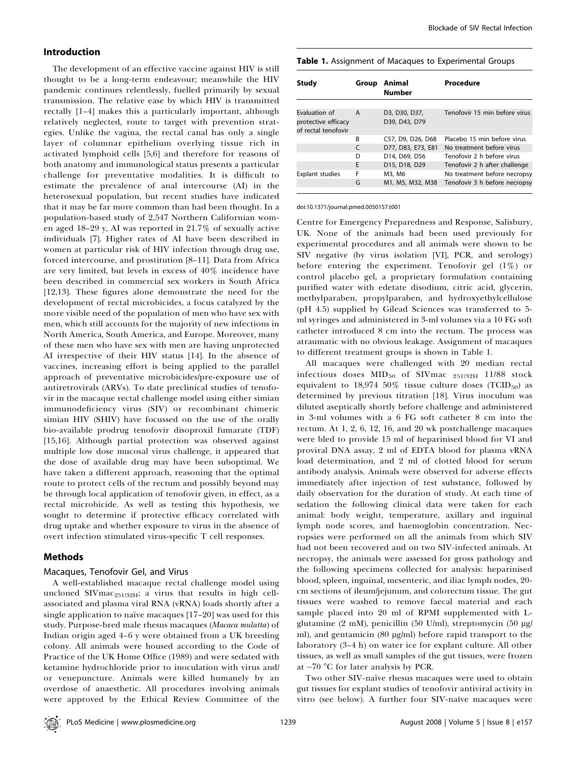#### Introduction

The development of an effective vaccine against HIV is still thought to be a long-term endeavour; meanwhile the HIV pandemic continues relentlessly, fuelled primarily by sexual transmission. The relative ease by which HIV is transmitted rectally [1–4] makes this a particularly important, although relatively neglected, route to target with prevention strategies. Unlike the vagina, the rectal canal has only a single layer of columnar epithelium overlying tissue rich in activated lymphoid cells [5,6] and therefore for reasons of both anatomy and immunological status presents a particular challenge for preventative modalities. It is difficult to estimate the prevalence of anal intercourse (AI) in the heterosexual population, but recent studies have indicated that it may be far more common than had been thought. In a population-based study of 2,547 Northern Californian women aged 18–29 y, AI was reported in 21.7% of sexually active individuals [7]. Higher rates of AI have been described in women at particular risk of HIV infection through drug use, forced intercourse, and prostitution [8–11]. Data from Africa are very limited, but levels in excess of 40% incidence have been described in commercial sex workers in South Africa [12,13]. These figures alone demonstrate the need for the development of rectal microbicides, a focus catalyzed by the more visible need of the population of men who have sex with men, which still accounts for the majority of new infections in North America, South America, and Europe. Moreover, many of these men who have sex with men are having unprotected AI irrespective of their HIV status [14]. In the absence of vaccines, increasing effort is being applied to the parallel approach of preventative microbicides/pre-exposure use of antiretrovirals (ARVs). To date preclinical studies of tenofovir in the macaque rectal challenge model using either simian immunodeficiency virus (SIV) or recombinant chimeric simian HIV (SHIV) have focussed on the use of the orally bio-available prodrug tenofovir disoproxil fumarate (TDF) [15,16]. Although partial protection was observed against multiple low dose mucosal virus challenge, it appeared that the dose of available drug may have been suboptimal. We have taken a different approach, reasoning that the optimal route to protect cells of the rectum and possibly beyond may be through local application of tenofovir given, in effect, as a rectal microbicide. As well as testing this hypothesis, we sought to determine if protective efficacy correlated with drug uptake and whether exposure to virus in the absence of overt infection stimulated virus-specific T cell responses.

#### Methods

#### Macaques, Tenofovir Gel, and Virus

A well-established macaque rectal challenge model using uncloned SIVmac<sub>251/32H</sub>; a virus that results in high cellassociated and plasma viral RNA (vRNA) loads shortly after a single application to naïve macaques  $[17-20]$  was used for this study. Purpose-bred male rhesus macaques (Macaca mulatta) of Indian origin aged 4–6 y were obtained from a UK breeding colony. All animals were housed according to the Code of Practice of the UK Home Office (1989) and were sedated with ketamine hydrochloride prior to inoculation with virus and/ or venepuncture. Animals were killed humanely by an overdose of anaesthetic. All procedures involving animals were approved by the Ethical Review Committee of the

Table 1. Assignment of Macaques to Experimental Groups

| <b>Study</b>                               | Group      | Animal<br><b>Number</b> | Procedure                     |
|--------------------------------------------|------------|-------------------------|-------------------------------|
| Evaluation of                              | A          | D3, D30, D37,           | Tenofovir 15 min before virus |
| protective efficacy<br>of rectal tenofovir |            | D39, D43, D79           |                               |
|                                            | B          | C57, D9, D26, D68       | Placebo 15 min before virus   |
|                                            | $\epsilon$ | D77, D83, E73, E81      | No treatment before virus     |
|                                            | D          | D14, D69, D56           | Tenofovir 2 h before virus    |
|                                            | E          | D15, D18, D29           | Tenofovir 2 h after challenge |
| <b>Explant studies</b>                     | F          | M3, M6                  | No treatment before necropsy  |
|                                            | G          | M1, M5, M32, M38        | Tenofovir 3 h before necropsy |

doi:10.1371/journal.pmed.0050157.t001

Centre for Emergency Preparedness and Response, Salisbury, UK. None of the animals had been used previously for experimental procedures and all animals were shown to be SIV negative (by virus isolation [VI], PCR, and serology) before entering the experiment. Tenofovir gel (1%) or control placebo gel, a proprietary formulation containing purified water with edetate disodium, citric acid, glycerin, methylparaben, propylparaben, and hydroxyethylcellulose (pH 4.5) supplied by Gilead Sciences was transferred to 5 ml syringes and administered in 3-ml volumes via a 10 FG soft catheter introduced 8 cm into the rectum. The process was atraumatic with no obvious leakage. Assignment of macaques to different treatment groups is shown in Table 1.

All macaques were challenged with 20 median rectal infectious doses  $MID_{50}$  of SIVmac  $_{251/32H}$  11/88 stock equivalent to  $18,974,50\%$  tissue culture doses (TCID<sub>50</sub>) as determined by previous titration [18]. Virus inoculum was diluted aseptically shortly before challenge and administered in 3-ml volumes with a 6 FG soft catheter 8 cm into the rectum. At 1, 2, 6, 12, 16, and 20 wk postchallenge macaques were bled to provide 15 ml of heparinised blood for VI and proviral DNA assay, 2 ml of EDTA blood for plasma vRNA load determination, and 2 ml of clotted blood for serum antibody analysis. Animals were observed for adverse effects immediately after injection of test substance, followed by daily observation for the duration of study. At each time of sedation the following clinical data were taken for each animal: body weight, temperature, axillary and inguinal lymph node scores, and haemoglobin concentration. Necropsies were performed on all the animals from which SIV had not been recovered and on two SIV-infected animals. At necropsy, the animals were assessed for gross pathology and the following specimens collected for analysis: heparinised blood, spleen, inguinal, mesenteric, and iliac lymph nodes, 20 cm sections of ileum/jejunum, and colorectum tissue. The gut tissues were washed to remove faecal material and each sample placed into 20 ml of RPMI supplemented with Lglutamine (2 mM), penicillin (50 U/ml), streptomycin (50 μg/ ml), and gentamicin (80 µg/ml) before rapid transport to the laboratory (3–4 h) on water ice for explant culture. All other tissues, as well as small samples of the gut tissues, were frozen at –70 °C for later analysis by PCR.

Two other SIV-naïve rhesus macaques were used to obtain gut tissues for explant studies of tenofovir antiviral activity in vitro (see below). A further four SIV-naïve macaques were

PLoS Medicine | www.plosmedicine.org August 2008 | Volume 5 | Issue 8 | e157 1239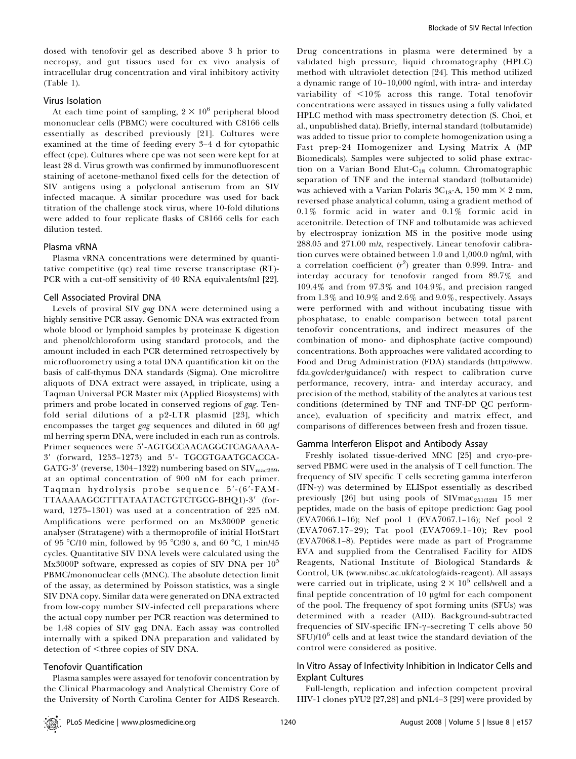dosed with tenofovir gel as described above 3 h prior to necropsy, and gut tissues used for ex vivo analysis of intracellular drug concentration and viral inhibitory activity (Table 1).

#### Virus Isolation

At each time point of sampling,  $2 \times 10^6$  peripheral blood mononuclear cells (PBMC) were cocultured with C8166 cells essentially as described previously [21]. Cultures were examined at the time of feeding every 3–4 d for cytopathic effect (cpe). Cultures where cpe was not seen were kept for at least 28 d. Virus growth was confirmed by immunofluorescent staining of acetone-methanol fixed cells for the detection of SIV antigens using a polyclonal antiserum from an SIV infected macaque. A similar procedure was used for back titration of the challenge stock virus, where 10-fold dilutions were added to four replicate flasks of C8166 cells for each dilution tested.

#### Plasma vRNA

Plasma vRNA concentrations were determined by quantitative competitive (qc) real time reverse transcriptase (RT)- PCR with a cut-off sensitivity of 40 RNA equivalents/ml [22].

#### Cell Associated Proviral DNA

Levels of proviral SIV gag DNA were determined using a highly sensitive PCR assay. Genomic DNA was extracted from whole blood or lymphoid samples by proteinase K digestion and phenol/chloroform using standard protocols, and the amount included in each PCR determined retrospectively by microfluorometry using a total DNA quantification kit on the basis of calf-thymus DNA standards (Sigma). One microlitre aliquots of DNA extract were assayed, in triplicate, using a Taqman Universal PCR Master mix (Applied Biosystems) with primers and probe located in conserved regions of gag. Tenfold serial dilutions of a p2-LTR plasmid [23], which encompasses the target gag sequences and diluted in 60  $\mu$ g/ ml herring sperm DNA, were included in each run as controls. Primer sequences were 5'-AGTGCCAACAGGCTCAGAAAA-3' (forward, 1253-1273) and 5'- TGCGTGAATGCACCA-GATG-3' (reverse, 1304–1322) numbering based on  $\text{SIV}_{\text{mac239}}$ , at an optimal concentration of 900 nM for each primer. Taqman hydrolysis probe sequence 5'-(6'-FAM-TTAAAAAGCCTTTATAATACTGTCTGCG-BHQ1)-3' (forward, 1275–1301) was used at a concentration of 225 nM. Amplifications were performed on an Mx3000P genetic analyser (Stratagene) with a thermoprofile of initial HotStart of 95 °C/10 min, followed by 95 °C/30 s, and 60 °C, 1 min/45 cycles. Quantitative SIV DNA levels were calculated using the Mx3000P software, expressed as copies of SIV DNA per  $10^5$ PBMC/mononuclear cells (MNC). The absolute detection limit of the assay, as determined by Poisson statistics, was a single SIV DNA copy. Similar data were generated on DNA extracted from low-copy number SIV-infected cell preparations where the actual copy number per PCR reaction was determined to be 1.48 copies of SIV gag DNA. Each assay was controlled internally with a spiked DNA preparation and validated by detection of  $\leq$ three copies of SIV DNA.

#### Tenofovir Quantification

Plasma samples were assayed for tenofovir concentration by the Clinical Pharmacology and Analytical Chemistry Core of the University of North Carolina Center for AIDS Research.

Drug concentrations in plasma were determined by a validated high pressure, liquid chromatography (HPLC) method with ultraviolet detection [24]. This method utilized a dynamic range of 10–10,000 ng/ml, with intra- and interday variability of  $\langle 10\%$  across this range. Total tenofovir concentrations were assayed in tissues using a fully validated HPLC method with mass spectrometry detection (S. Choi, et al., unpublished data). Briefly, internal standard (tolbutamide) was added to tissue prior to complete homogenization using a Fast prep-24 Homogenizer and Lysing Matrix A (MP Biomedicals). Samples were subjected to solid phase extraction on a Varian Bond Elut- $C_{18}$  column. Chromatographic separation of TNF and the internal standard (tolbutamide) was achieved with a Varian Polaris  $3C_{18}$ -A, 150 mm  $\times$  2 mm, reversed phase analytical column, using a gradient method of 0.1% formic acid in water and 0.1% formic acid in acetonitrile. Detection of TNF and tolbutamide was achieved by electrospray ionization MS in the positive mode using 288.05 and 271.00 m/z, respectively. Linear tenofovir calibration curves were obtained between 1.0 and 1,000.0 ng/ml, with a correlation coefficient  $(r^2)$  greater than 0.999. Intra- and interday accuracy for tenofovir ranged from 89.7% and 109.4% and from 97.3% and 104.9%, and precision ranged from 1.3% and 10.9% and 2.6% and 9.0%, respectively. Assays were performed with and without incubating tissue with phosphatase, to enable comparison between total parent tenofovir concentrations, and indirect measures of the combination of mono- and diphosphate (active compound) concentrations. Both approaches were validated according to Food and Drug Administration (FDA) standards (http://www. fda.gov/cder/guidance/) with respect to calibration curve performance, recovery, intra- and interday accuracy, and precision of the method, stability of the analytes at various test conditions (determined by TNF and TNF-DP QC performance), evaluation of specificity and matrix effect, and comparisons of differences between fresh and frozen tissue.

#### Gamma Interferon Elispot and Antibody Assay

Freshly isolated tissue-derived MNC [25] and cryo-preserved PBMC were used in the analysis of T cell function. The frequency of SIV specific T cells secreting gamma interferon  $(IFN-\gamma)$  was determined by ELISpot essentially as described previously  $[26]$  but using pools of SIVmac<sub>251/32H</sub> 15 mer peptides, made on the basis of epitope prediction: Gag pool (EVA7066.1–16); Nef pool 1 (EVA7067.1–16); Nef pool 2 (EVA7067.17–29); Tat pool (EVA7069.1–10); Rev pool (EVA7068.1–8). Peptides were made as part of Programme EVA and supplied from the Centralised Facility for AIDS Reagents, National Institute of Biological Standards & Control, UK (www.nibsc.ac.uk/catolog/aids-reagent). All assays were carried out in triplicate, using  $2 \times 10^5$  cells/well and a final peptide concentration of  $10 \mu g/m$  for each component of the pool. The frequency of spot forming units (SFUs) was determined with a reader (AID). Background-subtracted frequencies of SIV-specific IFN- $\gamma$ -secreting T cells above 50  $SFU$ )/10<sup>6</sup> cells and at least twice the standard deviation of the control were considered as positive.

## In Vitro Assay of Infectivity Inhibition in Indicator Cells and Explant Cultures

Full-length, replication and infection competent proviral HIV-1 clones pYU2 [27,28] and pNL4–3 [29] were provided by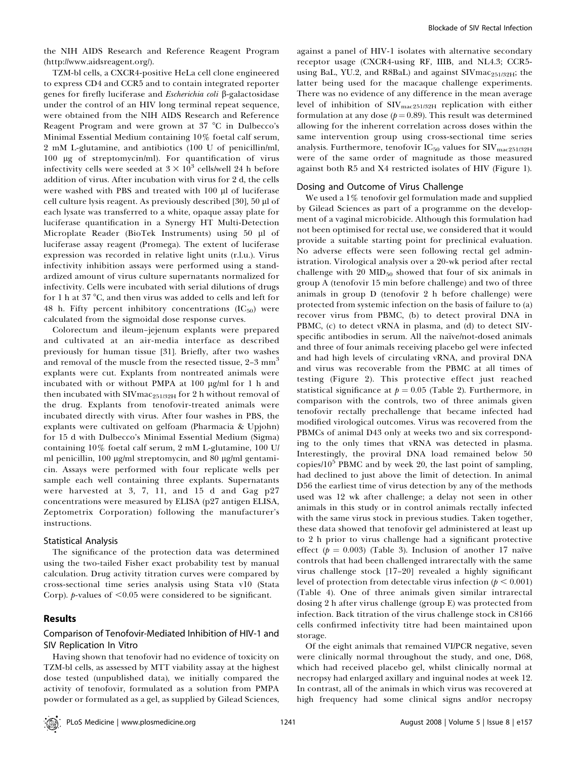the NIH AIDS Research and Reference Reagent Program (http://www.aidsreagent.org/).

TZM-bl cells, a CXCR4-positive HeLa cell clone engineered to express CD4 and CCR5 and to contain integrated reporter genes for firefly luciferase and Escherichia coli β-galactosidase under the control of an HIV long terminal repeat sequence, were obtained from the NIH AIDS Research and Reference Reagent Program and were grown at  $37 \text{ °C}$  in Dulbecco's Minimal Essential Medium containing 10% foetal calf serum, 2 mM L-glutamine, and antibiotics (100 U of penicillin/ml, 100 lg of streptomycin/ml). For quantification of virus infectivity cells were seeded at  $3 \times 10^3$  cells/well 24 h before addition of virus. After incubation with virus for 2 d, the cells were washed with PBS and treated with 100 µl of luciferase cell culture lysis reagent. As previously described  $[30]$ , 50  $\mu$ l of each lysate was transferred to a white, opaque assay plate for luciferase quantification in a Synergy HT Multi-Detection Microplate Reader (BioTek Instruments) using 50 µl of luciferase assay reagent (Promega). The extent of luciferase expression was recorded in relative light units (r.l.u.). Virus infectivity inhibition assays were performed using a standardized amount of virus culture supernatants normalized for infectivity. Cells were incubated with serial dilutions of drugs for 1 h at 37  $^{\circ}$ C, and then virus was added to cells and left for 48 h. Fifty percent inhibitory concentrations  $(IC_{50})$  were calculated from the sigmoidal dose response curves.

Colorectum and ileum–jejenum explants were prepared and cultivated at an air-media interface as described previously for human tissue [31]. Briefly, after two washes and removal of the muscle from the resected tissue,  $2-3$  mm<sup>3</sup> explants were cut. Explants from nontreated animals were incubated with or without PMPA at 100 µg/ml for 1 h and then incubated with SIV mac<sub>251/32H</sub> for 2 h without removal of the drug. Explants from tenofovir-treated animals were incubated directly with virus. After four washes in PBS, the explants were cultivated on gelfoam (Pharmacia & Upjohn) for 15 d with Dulbecco's Minimal Essential Medium (Sigma) containing 10% foetal calf serum, 2 mM L-glutamine, 100 U/ ml penicillin, 100 μg/ml streptomycin, and 80 μg/ml gentamicin. Assays were performed with four replicate wells per sample each well containing three explants. Supernatants were harvested at 3, 7, 11, and 15 d and Gag p27 concentrations were measured by ELISA (p27 antigen ELISA, Zeptometrix Corporation) following the manufacturer's instructions.

#### Statistical Analysis

The significance of the protection data was determined using the two-tailed Fisher exact probability test by manual calculation. Drug activity titration curves were compared by cross-sectional time series analysis using Stata v10 (Stata Corp).  $p$ -values of  $\leq 0.05$  were considered to be significant.

#### Results

## Comparison of Tenofovir-Mediated Inhibition of HIV-1 and SIV Replication In Vitro

Having shown that tenofovir had no evidence of toxicity on TZM-bl cells, as assessed by MTT viability assay at the highest dose tested (unpublished data), we initially compared the activity of tenofovir, formulated as a solution from PMPA powder or formulated as a gel, as supplied by Gilead Sciences,

against a panel of HIV-1 isolates with alternative secondary receptor usage (CXCR4-using RF, IIIB, and NL4.3; CCR5 using BaL, YU.2, and R8BaL) and against SIVmac<sub>251/32H</sub>; the latter being used for the macaque challenge experiments. There was no evidence of any difference in the mean average level of inhibition of  $\text{SIV}_{\text{mac251/32H}}$  replication with either formulation at any dose ( $p = 0.89$ ). This result was determined allowing for the inherent correlation across doses within the same intervention group using cross-sectional time series analysis. Furthermore, tenofovir  $IC_{50}$  values for  $\text{SIV}_{\text{mac251/32H}}$ were of the same order of magnitude as those measured against both R5 and X4 restricted isolates of HIV (Figure 1).

#### Dosing and Outcome of Virus Challenge

We used a 1% tenofovir gel formulation made and supplied by Gilead Sciences as part of a programme on the development of a vaginal microbicide. Although this formulation had not been optimised for rectal use, we considered that it would provide a suitable starting point for preclinical evaluation. No adverse effects were seen following rectal gel administration. Virological analysis over a 20-wk period after rectal challenge with  $20$  MID<sub>50</sub> showed that four of six animals in group A (tenofovir 15 min before challenge) and two of three animals in group D (tenofovir 2 h before challenge) were protected from systemic infection on the basis of failure to (a) recover virus from PBMC, (b) to detect proviral DNA in PBMC, (c) to detect vRNA in plasma, and (d) to detect SIVspecific antibodies in serum. All the naïve/not-dosed animals and three of four animals receiving placebo gel were infected and had high levels of circulating vRNA, and proviral DNA and virus was recoverable from the PBMC at all times of testing (Figure 2). This protective effect just reached statistical significance at  $p = 0.05$  (Table 2). Furthermore, in comparison with the controls, two of three animals given tenofovir rectally prechallenge that became infected had modified virological outcomes. Virus was recovered from the PBMCs of animal D43 only at weeks two and six corresponding to the only times that vRNA was detected in plasma. Interestingly, the proviral DNA load remained below 50 copies/ $10^5$  PBMC and by week 20, the last point of sampling, had declined to just above the limit of detection. In animal D56 the earliest time of virus detection by any of the methods used was 12 wk after challenge; a delay not seen in other animals in this study or in control animals rectally infected with the same virus stock in previous studies. Taken together, these data showed that tenofovir gel administered at least up to 2 h prior to virus challenge had a significant protective effect ( $p = 0.003$ ) (Table 3). Inclusion of another 17 naïve controls that had been challenged intrarectally with the same virus challenge stock [17–20] revealed a highly significant level of protection from detectable virus infection ( $p < 0.001$ ) (Table 4). One of three animals given similar intrarectal dosing 2 h after virus challenge (group E) was protected from infection. Back titration of the virus challenge stock in C8166 cells confirmed infectivity titre had been maintained upon storage.

Of the eight animals that remained VI/PCR negative, seven were clinically normal throughout the study, and one, D68, which had received placebo gel, whilst clinically normal at necropsy had enlarged axillary and inguinal nodes at week 12. In contrast, all of the animals in which virus was recovered at high frequency had some clinical signs and/or necropsy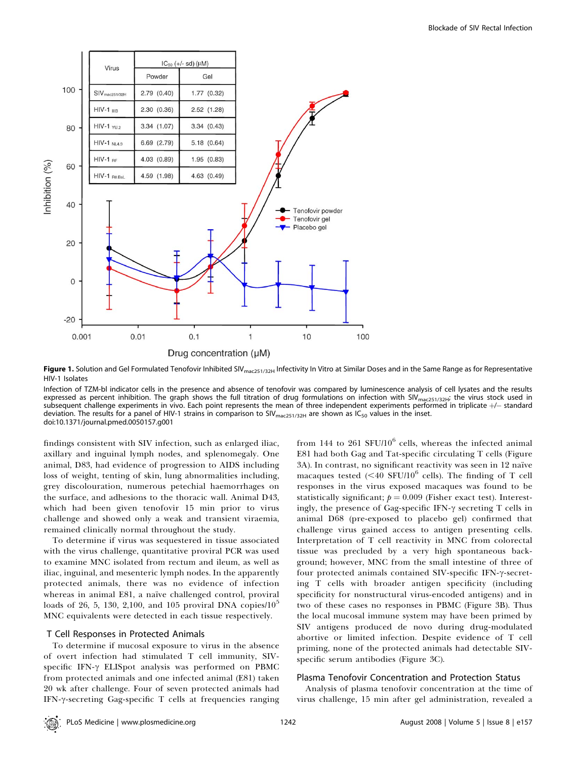

Figure 1. Solution and Gel Formulated Tenofovir Inhibited SIV<sub>mac251/32H</sub> Infectivity In Vitro at Similar Doses and in the Same Range as for Representative HIV-1 Isolates

Infection of TZM-bl indicator cells in the presence and absence of tenofovir was compared by luminescence analysis of cell lysates and the results expressed as percent inhibition. The graph shows the full titration of drug formulations on infection with SIV<sub>mac251/32H</sub>; the virus stock used in subsequent challenge experiments in vivo. Each point represents the mean of three independent experiments performed in triplicate +/— standard deviation. The results for a panel of HIV-1 strains in comparison to SIV $_{\text{mac251/32H}}$  are shown as IC<sub>50</sub> values in the inset. doi:10.1371/journal.pmed.0050157.g001

findings consistent with SIV infection, such as enlarged iliac, axillary and inguinal lymph nodes, and splenomegaly. One animal, D83, had evidence of progression to AIDS including loss of weight, tenting of skin, lung abnormalities including, grey discolouration, numerous petechial haemorrhages on the surface, and adhesions to the thoracic wall. Animal D43, which had been given tenofovir 15 min prior to virus challenge and showed only a weak and transient viraemia, remained clinically normal throughout the study.

To determine if virus was sequestered in tissue associated with the virus challenge, quantitative proviral PCR was used to examine MNC isolated from rectum and ileum, as well as iliac, inguinal, and mesenteric lymph nodes. In the apparently protected animals, there was no evidence of infection whereas in animal E81, a naïve challenged control, proviral loads of 26, 5, 130, 2,100, and 105 proviral DNA copies/ $10^5$ MNC equivalents were detected in each tissue respectively.

#### T Cell Responses in Protected Animals

To determine if mucosal exposure to virus in the absence of overt infection had stimulated T cell immunity, SIVspecific IFN- $\gamma$  ELISpot analysis was performed on PBMC from protected animals and one infected animal (E81) taken 20 wk after challenge. Four of seven protected animals had IFN- $\gamma$ -secreting Gag-specific T cells at frequencies ranging

from 144 to 261 SFU/10 $^6$  cells, whereas the infected animal E81 had both Gag and Tat-specific circulating T cells (Figure 3A). In contrast, no significant reactivity was seen in 12 naïve macaques tested  $( $40$  SFU/10<sup>6</sup> cells). The finding of T cell$ responses in the virus exposed macaques was found to be statistically significant;  $p = 0.009$  (Fisher exact test). Interestingly, the presence of Gag-specific IFN- $\gamma$  secreting T cells in animal D68 (pre-exposed to placebo gel) confirmed that challenge virus gained access to antigen presenting cells. Interpretation of T cell reactivity in MNC from colorectal tissue was precluded by a very high spontaneous background; however, MNC from the small intestine of three of four protected animals contained SIV-specific IFN- $\gamma$ -secreting T cells with broader antigen specificity (including specificity for nonstructural virus-encoded antigens) and in two of these cases no responses in PBMC (Figure 3B). Thus the local mucosal immune system may have been primed by SIV antigens produced de novo during drug-modulated abortive or limited infection. Despite evidence of T cell priming, none of the protected animals had detectable SIVspecific serum antibodies (Figure 3C).

#### Plasma Tenofovir Concentration and Protection Status

Analysis of plasma tenofovir concentration at the time of virus challenge, 15 min after gel administration, revealed a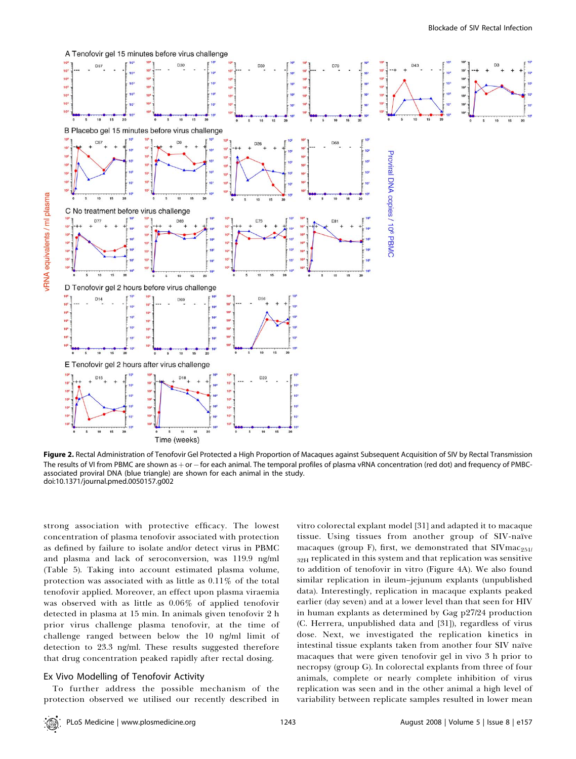

Figure 2. Rectal Administration of Tenofovir Gel Protected a High Proportion of Macaques against Subsequent Acquisition of SIV by Rectal Transmission The results of VI from PBMC are shown as  $+$  or  $-$  for each animal. The temporal profiles of plasma vRNA concentration (red dot) and frequency of PMBCassociated proviral DNA (blue triangle) are shown for each animal in the study. doi:10.1371/journal.pmed.0050157.g002

strong association with protective efficacy. The lowest concentration of plasma tenofovir associated with protection as defined by failure to isolate and/or detect virus in PBMC and plasma and lack of seroconversion, was 119.9 ng/ml (Table 5). Taking into account estimated plasma volume, protection was associated with as little as 0.11% of the total tenofovir applied. Moreover, an effect upon plasma viraemia was observed with as little as 0.06% of applied tenofovir detected in plasma at 15 min. In animals given tenofovir 2 h prior virus challenge plasma tenofovir, at the time of challenge ranged between below the 10 ng/ml limit of detection to 23.3 ng/ml. These results suggested therefore that drug concentration peaked rapidly after rectal dosing.

### Ex Vivo Modelling of Tenofovir Activity

To further address the possible mechanism of the protection observed we utilised our recently described in

vitro colorectal explant model [31] and adapted it to macaque tissue. Using tissues from another group of SIV-naïve macaques (group F), first, we demonstrated that  $\text{SIVmac}_{251/2}$  $_{32H}$  replicated in this system and that replication was sensitive to addition of tenofovir in vitro (Figure 4A). We also found similar replication in ileum–jejunum explants (unpublished data). Interestingly, replication in macaque explants peaked earlier (day seven) and at a lower level than that seen for HIV in human explants as determined by Gag p27/24 production (C. Herrera, unpublished data and [31]), regardless of virus dose. Next, we investigated the replication kinetics in intestinal tissue explants taken from another four SIV naïve macaques that were given tenofovir gel in vivo 3 h prior to necropsy (group G). In colorectal explants from three of four animals, complete or nearly complete inhibition of virus replication was seen and in the other animal a high level of variability between replicate samples resulted in lower mean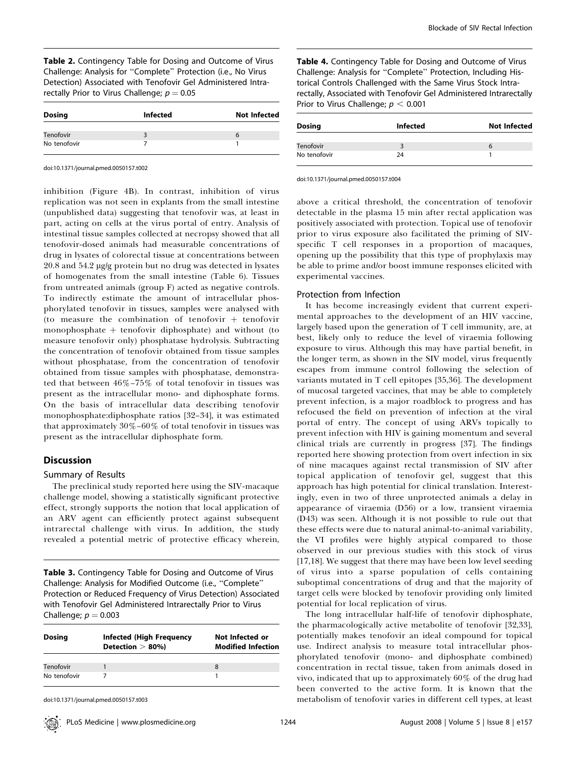Table 2. Contingency Table for Dosing and Outcome of Virus Challenge: Analysis for ''Complete'' Protection (i.e., No Virus Detection) Associated with Tenofovir Gel Administered Intrarectally Prior to Virus Challenge;  $p = 0.05$ 

| <b>Dosing</b> | <b>Infected</b> | <b>Not Infected</b> |  |
|---------------|-----------------|---------------------|--|
|               |                 |                     |  |
| Tenofovir     |                 |                     |  |
| No tenofovir  |                 |                     |  |

doi:10.1371/journal.pmed.0050157.t002

inhibition (Figure 4B). In contrast, inhibition of virus replication was not seen in explants from the small intestine (unpublished data) suggesting that tenofovir was, at least in part, acting on cells at the virus portal of entry. Analysis of intestinal tissue samples collected at necropsy showed that all tenofovir-dosed animals had measurable concentrations of drug in lysates of colorectal tissue at concentrations between 20.8 and 54.2 µg/g protein but no drug was detected in lysates of homogenates from the small intestine (Table 6). Tissues from untreated animals (group F) acted as negative controls. To indirectly estimate the amount of intracellular phosphorylated tenofovir in tissues, samples were analysed with (to measure the combination of tenofovir  $+$  tenofovir monophosphate  $+$  tenofovir diphosphate) and without (to measure tenofovir only) phosphatase hydrolysis. Subtracting the concentration of tenofovir obtained from tissue samples without phosphatase, from the concentration of tenofovir obtained from tissue samples with phosphatase, demonstrated that between 46%–75% of total tenofovir in tissues was present as the intracellular mono- and diphosphate forms. On the basis of intracellular data describing tenofovir monophosphate:diphosphate ratios [32–34], it was estimated that approximately 30%–60% of total tenofovir in tissues was present as the intracellular diphosphate form.

## **Discussion**

#### Summary of Results

The preclinical study reported here using the SIV-macaque challenge model, showing a statistically significant protective effect, strongly supports the notion that local application of an ARV agent can efficiently protect against subsequent intrarectal challenge with virus. In addition, the study revealed a potential metric of protective efficacy wherein,

Table 3. Contingency Table for Dosing and Outcome of Virus Challenge: Analysis for Modified Outcome (i.e., ''Complete'' Protection or Reduced Frequency of Virus Detection) Associated with Tenofovir Gel Administered Intrarectally Prior to Virus Challenge;  $p = 0.003$ 

| Dosing       | <b>Infected (High Frequency</b><br>Detection $> 80\%$ ) | Not Infected or<br><b>Modified Infection</b> |
|--------------|---------------------------------------------------------|----------------------------------------------|
| Tenofovir    |                                                         | 8                                            |
| No tenofovir |                                                         |                                              |

doi:10.1371/journal.pmed.0050157.t003

Table 4. Contingency Table for Dosing and Outcome of Virus Challenge: Analysis for ''Complete'' Protection, Including Historical Controls Challenged with the Same Virus Stock Intrarectally, Associated with Tenofovir Gel Administered Intrarectally Prior to Virus Challenge;  $p < 0.001$ 

| <b>Dosing</b> | <b>Infected</b> | <b>Not Infected</b> |
|---------------|-----------------|---------------------|
| Tenofovir     |                 |                     |
| No tenofovir  | 24              |                     |

doi:10.1371/journal.pmed.0050157.t004

above a critical threshold, the concentration of tenofovir detectable in the plasma 15 min after rectal application was positively associated with protection. Topical use of tenofovir prior to virus exposure also facilitated the priming of SIVspecific T cell responses in a proportion of macaques, opening up the possibility that this type of prophylaxis may be able to prime and/or boost immune responses elicited with experimental vaccines.

#### Protection from Infection

It has become increasingly evident that current experimental approaches to the development of an HIV vaccine, largely based upon the generation of T cell immunity, are, at best, likely only to reduce the level of viraemia following exposure to virus. Although this may have partial benefit, in the longer term, as shown in the SIV model, virus frequently escapes from immune control following the selection of variants mutated in T cell epitopes [35,36]. The development of mucosal targeted vaccines, that may be able to completely prevent infection, is a major roadblock to progress and has refocused the field on prevention of infection at the viral portal of entry. The concept of using ARVs topically to prevent infection with HIV is gaining momentum and several clinical trials are currently in progress [37]. The findings reported here showing protection from overt infection in six of nine macaques against rectal transmission of SIV after topical application of tenofovir gel, suggest that this approach has high potential for clinical translation. Interestingly, even in two of three unprotected animals a delay in appearance of viraemia (D56) or a low, transient viraemia (D43) was seen. Although it is not possible to rule out that these effects were due to natural animal-to-animal variability, the VI profiles were highly atypical compared to those observed in our previous studies with this stock of virus [17,18]. We suggest that there may have been low level seeding of virus into a sparse population of cells containing suboptimal concentrations of drug and that the majority of target cells were blocked by tenofovir providing only limited potential for local replication of virus.

The long intracellular half-life of tenofovir diphosphate, the pharmacologically active metabolite of tenofovir [32,33], potentially makes tenofovir an ideal compound for topical use. Indirect analysis to measure total intracellular phosphorylated tenofovir (mono- and diphosphate combined) concentration in rectal tissue, taken from animals dosed in vivo, indicated that up to approximately 60% of the drug had been converted to the active form. It is known that the metabolism of tenofovir varies in different cell types, at least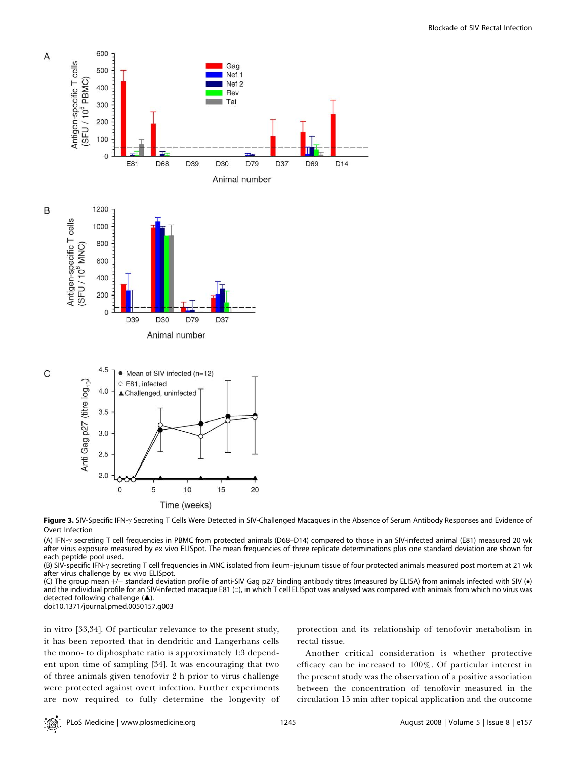

Time (weeks)

Figure 3. SIV-Specific IFN-y Secreting T Cells Were Detected in SIV-Challenged Macaques in the Absence of Serum Antibody Responses and Evidence of Overt Infection

(A) IFN- $\gamma$  secreting T cell frequencies in PBMC from protected animals (D68-D14) compared to those in an SIV-infected animal (E81) measured 20 wk after virus exposure measured by ex vivo ELISpot. The mean frequencies of three replicate determinations plus one standard deviation are shown for each peptide pool used.

(B) SIV-specific IFN- $\gamma$  secreting T cell frequencies in MNC isolated from ileum-jejunum tissue of four protected animals measured post mortem at 21 wk after virus challenge by ex vivo ELISpot.

(C) The group mean +/- standard deviation profile of anti-SIV Gag p27 binding antibody titres (measured by ELISA) from animals infected with SIV ( $\bullet$ ) and the individual profile for an SIV-infected macaque E81 (o), in which T cell ELISpot was analysed was compared with animals from which no virus was detected following challenge  $(\triangle)$ .

doi:10.1371/journal.pmed.0050157.g003

in vitro [33,34]. Of particular relevance to the present study, it has been reported that in dendritic and Langerhans cells the mono- to diphosphate ratio is approximately 1:3 dependent upon time of sampling [34]. It was encouraging that two of three animals given tenofovir 2 h prior to virus challenge were protected against overt infection. Further experiments are now required to fully determine the longevity of

protection and its relationship of tenofovir metabolism in rectal tissue.

Another critical consideration is whether protective efficacy can be increased to 100%. Of particular interest in the present study was the observation of a positive association between the concentration of tenofovir measured in the circulation 15 min after topical application and the outcome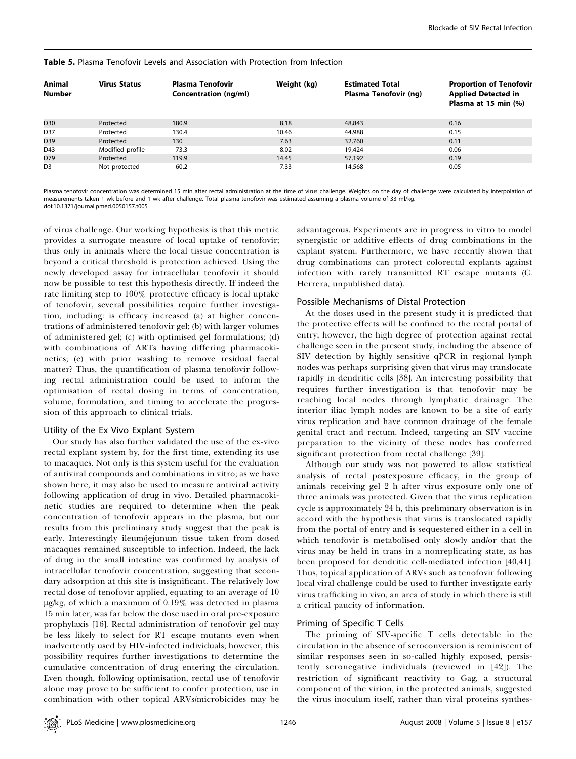| Animal<br><b>Number</b> | <b>Virus Status</b> | Plasma Tenofovir<br>Concentration (ng/ml) | Weight (kg) | <b>Estimated Total</b><br>Plasma Tenofovir (ng) | <b>Proportion of Tenofovir</b><br><b>Applied Detected in</b><br>Plasma at 15 min (%) |
|-------------------------|---------------------|-------------------------------------------|-------------|-------------------------------------------------|--------------------------------------------------------------------------------------|
|                         |                     |                                           |             |                                                 |                                                                                      |
| D30                     | Protected           | 180.9                                     | 8.18        | 48,843                                          | 0.16                                                                                 |
| D37                     | Protected           | 130.4                                     | 10.46       | 44,988                                          | 0.15                                                                                 |
| D39                     | Protected           | 130                                       | 7.63        | 32,760                                          | 0.11                                                                                 |
| D43                     | Modified profile    | 73.3                                      | 8.02        | 19.424                                          | 0.06                                                                                 |
| D79                     | Protected           | 119.9                                     | 14.45       | 57,192                                          | 0.19                                                                                 |
| D <sub>3</sub>          | Not protected       | 60.2                                      | 7.33        | 14,568                                          | 0.05                                                                                 |

Table 5. Plasma Tenofovir Levels and Association with Protection from Infection

Plasma tenofovir concentration was determined 15 min after rectal administration at the time of virus challenge. Weights on the day of challenge were calculated by interpolation of measurements taken 1 wk before and 1 wk after challenge. Total plasma tenofovir was estimated assuming a plasma volume of 33 ml/kg. doi:10.1371/journal.pmed.0050157.t005

of virus challenge. Our working hypothesis is that this metric provides a surrogate measure of local uptake of tenofovir; thus only in animals where the local tissue concentration is beyond a critical threshold is protection achieved. Using the newly developed assay for intracellular tenofovir it should now be possible to test this hypothesis directly. If indeed the rate limiting step to 100% protective efficacy is local uptake of tenofovir, several possibilities require further investigation, including: is efficacy increased (a) at higher concentrations of administered tenofovir gel; (b) with larger volumes of administered gel; (c) with optimised gel formulations; (d) with combinations of ARTs having differing pharmacokinetics; (e) with prior washing to remove residual faecal matter? Thus, the quantification of plasma tenofovir following rectal administration could be used to inform the optimisation of rectal dosing in terms of concentration, volume, formulation, and timing to accelerate the progression of this approach to clinical trials.

#### Utility of the Ex Vivo Explant System

Our study has also further validated the use of the ex-vivo rectal explant system by, for the first time, extending its use to macaques. Not only is this system useful for the evaluation of antiviral compounds and combinations in vitro; as we have shown here, it may also be used to measure antiviral activity following application of drug in vivo. Detailed pharmacokinetic studies are required to determine when the peak concentration of tenofovir appears in the plasma, but our results from this preliminary study suggest that the peak is early. Interestingly ileum/jejunum tissue taken from dosed macaques remained susceptible to infection. Indeed, the lack of drug in the small intestine was confirmed by analysis of intracellular tenofovir concentration, suggesting that secondary adsorption at this site is insignificant. The relatively low rectal dose of tenofovir applied, equating to an average of 10 lg/kg, of which a maximum of 0.19% was detected in plasma 15 min later, was far below the dose used in oral pre-exposure prophylaxis [16]. Rectal administration of tenofovir gel may be less likely to select for RT escape mutants even when inadvertently used by HIV-infected individuals; however, this possibility requires further investigations to determine the cumulative concentration of drug entering the circulation. Even though, following optimisation, rectal use of tenofovir alone may prove to be sufficient to confer protection, use in combination with other topical ARVs/microbicides may be

advantageous. Experiments are in progress in vitro to model synergistic or additive effects of drug combinations in the explant system. Furthermore, we have recently shown that drug combinations can protect colorectal explants against infection with rarely transmitted RT escape mutants (C. Herrera, unpublished data).

## Possible Mechanisms of Distal Protection

At the doses used in the present study it is predicted that the protective effects will be confined to the rectal portal of entry; however, the high degree of protection against rectal challenge seen in the present study, including the absence of SIV detection by highly sensitive qPCR in regional lymph nodes was perhaps surprising given that virus may translocate rapidly in dendritic cells [38]. An interesting possibility that requires further investigation is that tenofovir may be reaching local nodes through lymphatic drainage. The interior iliac lymph nodes are known to be a site of early virus replication and have common drainage of the female genital tract and rectum. Indeed, targeting an SIV vaccine preparation to the vicinity of these nodes has conferred significant protection from rectal challenge [39].

Although our study was not powered to allow statistical analysis of rectal postexposure efficacy, in the group of animals receiving gel 2 h after virus exposure only one of three animals was protected. Given that the virus replication cycle is approximately 24 h, this preliminary observation is in accord with the hypothesis that virus is translocated rapidly from the portal of entry and is sequestered either in a cell in which tenofovir is metabolised only slowly and/or that the virus may be held in trans in a nonreplicating state, as has been proposed for dendritic cell-mediated infection [40,41]. Thus, topical application of ARVs such as tenofovir following local viral challenge could be used to further investigate early virus trafficking in vivo, an area of study in which there is still a critical paucity of information.

## Priming of Specific T Cells

The priming of SIV-specific T cells detectable in the circulation in the absence of seroconversion is reminiscent of similar responses seen in so-called highly exposed, persistently seronegative individuals (reviewed in [42]). The restriction of significant reactivity to Gag, a structural component of the virion, in the protected animals, suggested the virus inoculum itself, rather than viral proteins synthes-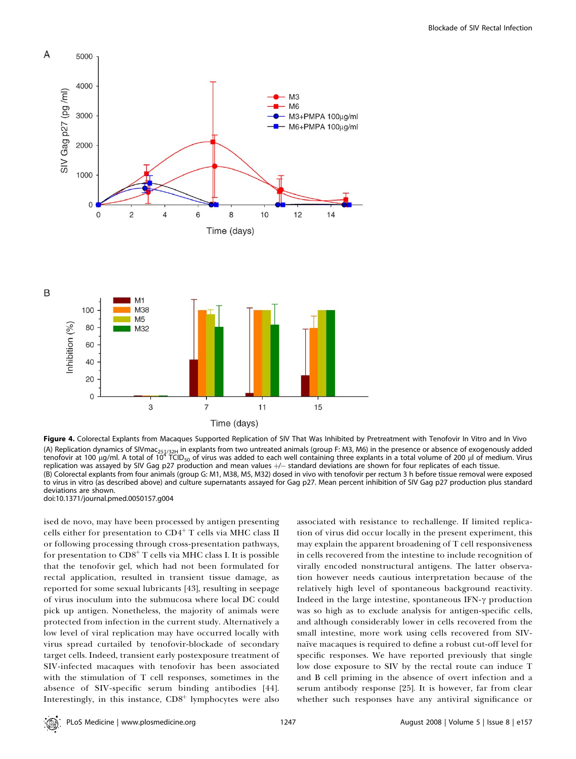

Figure 4. Colorectal Explants from Macaques Supported Replication of SIV That Was Inhibited by Pretreatment with Tenofovir In Vitro and In Vivo (A) Replication dynamics of SIVmac<sub>251/32H</sub> in explants from two untreated animals (group F: M3, M6) in the presence or absence of exogenously added<br>tenofovir at 100 μg/ml. A total of 10<sup>4</sup> TCID<sub>50</sub> of virus was added to replication was assayed by SIV Gag p27 production and mean values +/— standard deviations are shown for four replicates of each tissue. (B) Colorectal explants from four animals (group G: M1, M38, M5, M32) dosed in vivo with tenofovir per rectum 3 h before tissue removal were exposed to virus in vitro (as described above) and culture supernatants assayed for Gag p27. Mean percent inhibition of SIV Gag p27 production plus standard deviations are shown. doi:10.1371/journal.pmed.0050157.g004

ised de novo, may have been processed by antigen presenting cells either for presentation to  $CD4^+$  T cells via MHC class II or following processing through cross-presentation pathways, for presentation to  $CD8<sup>+</sup>$  T cells via MHC class I. It is possible that the tenofovir gel, which had not been formulated for rectal application, resulted in transient tissue damage, as reported for some sexual lubricants [43], resulting in seepage of virus inoculum into the submucosa where local DC could pick up antigen. Nonetheless, the majority of animals were protected from infection in the current study. Alternatively a low level of viral replication may have occurred locally with virus spread curtailed by tenofovir-blockade of secondary target cells. Indeed, transient early postexposure treatment of SIV-infected macaques with tenofovir has been associated with the stimulation of T cell responses, sometimes in the absence of SIV-specific serum binding antibodies [44]. Interestingly, in this instance,  $CD8<sup>+</sup>$  lymphocytes were also

associated with resistance to rechallenge. If limited replication of virus did occur locally in the present experiment, this may explain the apparent broadening of T cell responsiveness in cells recovered from the intestine to include recognition of virally encoded nonstructural antigens. The latter observation however needs cautious interpretation because of the relatively high level of spontaneous background reactivity. Indeed in the large intestine, spontaneous IFN- $\gamma$  production was so high as to exclude analysis for antigen-specific cells, and although considerably lower in cells recovered from the small intestine, more work using cells recovered from SIVnaïve macaques is required to define a robust cut-off level for specific responses. We have reported previously that single low dose exposure to SIV by the rectal route can induce T and B cell priming in the absence of overt infection and a serum antibody response [25]. It is however, far from clear whether such responses have any antiviral significance or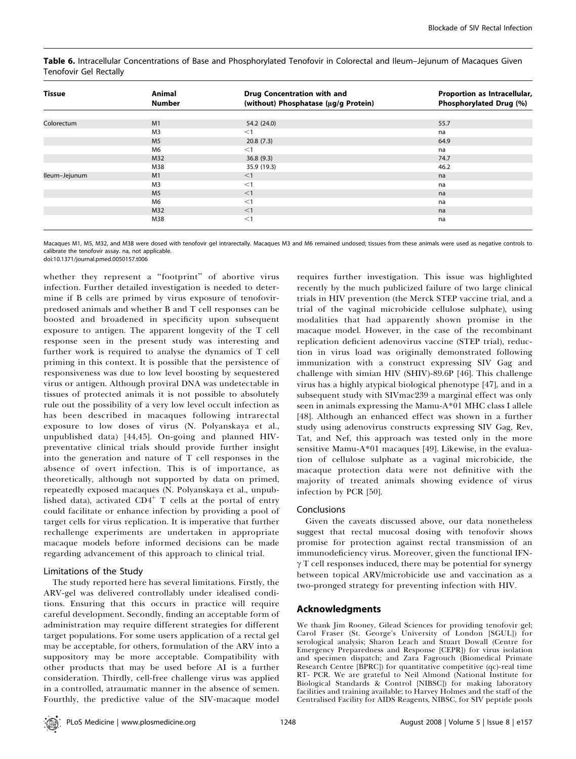Table 6. Intracellular Concentrations of Base and Phosphorylated Tenofovir in Colorectal and Ileum–Jejunum of Macaques Given Tenofovir Gel Rectally

| <b>Tissue</b> | Animal<br><b>Number</b> | <b>Drug Concentration with and</b><br>(without) Phosphatase (µg/g Protein) | Proportion as Intracellular,<br>Phosphorylated Drug (%) |
|---------------|-------------------------|----------------------------------------------------------------------------|---------------------------------------------------------|
|               |                         |                                                                            |                                                         |
| Colorectum    | M1                      | 54.2 (24.0)                                                                | 55.7                                                    |
|               | M <sub>3</sub>          | $<$ 1                                                                      | na                                                      |
|               | M <sub>5</sub>          | 20.8(7.3)                                                                  | 64.9                                                    |
|               | M6                      | $<$ 1                                                                      | na                                                      |
|               | M32                     | 36.8(9.3)                                                                  | 74.7                                                    |
|               | M38                     | 35.9 (19.3)                                                                | 46.2                                                    |
| Ileum-Jejunum | M1                      | <1                                                                         | na                                                      |
|               | M <sub>3</sub>          | <1                                                                         | na                                                      |
|               | M <sub>5</sub>          | <1                                                                         | na                                                      |
|               | M6                      | <1                                                                         | na                                                      |
|               | M32                     | <1                                                                         | na                                                      |
|               | M38                     | $<$ 1                                                                      | na                                                      |

Macaques M1, M5, M32, and M38 were dosed with tenofovir gel intrarectally. Macaques M3 and M6 remained undosed; tissues from these animals were used as negative controls to calibrate the tenofovir assay. na, not applicable. doi:10.1371/journal.pmed.0050157.t006

whether they represent a ''footprint'' of abortive virus infection. Further detailed investigation is needed to determine if B cells are primed by virus exposure of tenofovirpredosed animals and whether B and T cell responses can be boosted and broadened in specificity upon subsequent exposure to antigen. The apparent longevity of the T cell response seen in the present study was interesting and further work is required to analyse the dynamics of T cell priming in this context. It is possible that the persistence of responsiveness was due to low level boosting by sequestered virus or antigen. Although proviral DNA was undetectable in tissues of protected animals it is not possible to absolutely rule out the possibility of a very low level occult infection as has been described in macaques following intrarectal exposure to low doses of virus (N. Polyanskaya et al., unpublished data) [44,45]. On-going and planned HIVpreventative clinical trials should provide further insight into the generation and nature of T cell responses in the absence of overt infection. This is of importance, as theoretically, although not supported by data on primed, repeatedly exposed macaques (N. Polyanskaya et al., unpublished data), activated  $CD4^+$  T cells at the portal of entry could facilitate or enhance infection by providing a pool of target cells for virus replication. It is imperative that further rechallenge experiments are undertaken in appropriate macaque models before informed decisions can be made regarding advancement of this approach to clinical trial.

#### Limitations of the Study

The study reported here has several limitations. Firstly, the ARV-gel was delivered controllably under idealised conditions. Ensuring that this occurs in practice will require careful development. Secondly, finding an acceptable form of administration may require different strategies for different target populations. For some users application of a rectal gel may be acceptable, for others, formulation of the ARV into a suppository may be more acceptable. Compatibility with other products that may be used before AI is a further consideration. Thirdly, cell-free challenge virus was applied in a controlled, atraumatic manner in the absence of semen. Fourthly, the predictive value of the SIV-macaque model

requires further investigation. This issue was highlighted recently by the much publicized failure of two large clinical trials in HIV prevention (the Merck STEP vaccine trial, and a trial of the vaginal microbicide cellulose sulphate), using modalities that had apparently shown promise in the macaque model. However, in the case of the recombinant replication deficient adenovirus vaccine (STEP trial), reduction in virus load was originally demonstrated following immunization with a construct expressing SIV Gag and challenge with simian HIV (SHIV)-89.6P [46]. This challenge virus has a highly atypical biological phenotype [47], and in a subsequent study with SIVmac239 a marginal effect was only seen in animals expressing the Mamu-A\*01 MHC class I allele [48]. Although an enhanced effect was shown in a further study using adenovirus constructs expressing SIV Gag, Rev, Tat, and Nef, this approach was tested only in the more sensitive Mamu-A\*01 macaques [49]. Likewise, in the evaluation of cellulose sulphate as a vaginal microbicide, the macaque protection data were not definitive with the majority of treated animals showing evidence of virus infection by PCR [50].

## Conclusions

Given the caveats discussed above, our data nonetheless suggest that rectal mucosal dosing with tenofovir shows promise for protection against rectal transmission of an immunodeficiency virus. Moreover, given the functional IFN- $\gamma$  T cell responses induced, there may be potential for synergy between topical ARV/microbicide use and vaccination as a two-pronged strategy for preventing infection with HIV.

## Acknowledgments

We thank Jim Rooney, Gilead Sciences for providing tenofovir gel; Carol Fraser (St. George's University of London [SGUL]) for serological analysis; Sharon Leach and Stuart Dowall (Centre for Emergency Preparedness and Response [CEPR]) for virus isolation and specimen dispatch; and Zara Fagrouch (Biomedical Primate Research Centre [BPRC]) for quantitative competitive (qc)-real time RT- PCR. We are grateful to Neil Almond (National Institute for Biological Standards & Control [NIBSC]) for making laboratory facilities and training available; to Harvey Holmes and the staff of the Centralised Facility for AIDS Reagents, NIBSC, for SIV peptide pools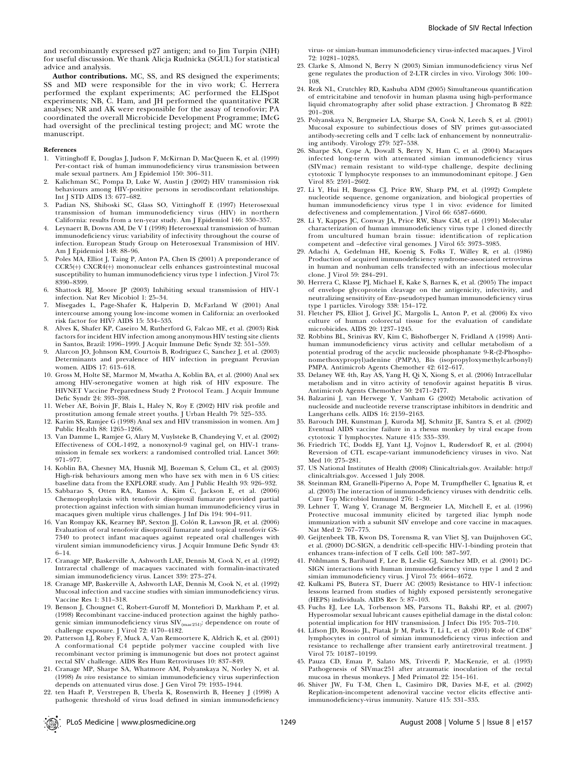and recombinantly expressed p27 antigen; and to Jim Turpin (NIH) for useful discussion. We thank Alicja Rudnicka (SGUL) for statistical advice and analysis.

Author contributions. MC, SS, and RS designed the experiments; SS and MD were responsible for the in vivo work; C. Herrera performed the explant experiments; AC performed the ELISpot experiments; NB, C. Ham, and JH performed the quantitative PCR analyses; NR and AK were responsible for the assay of tenofovir; PA coordinated the overall Microbicide Development Programme; IMcG had oversight of the preclinical testing project; and MC wrote the manuscript.

#### References

- 1. Vittinghoff E, Douglas J, Judson F, McKirnan D, MacQueen K, et al. (1999) Per-contact risk of human immunodeficiency virus transmission between male sexual partners. Am J Epidemiol 150: 306–311.
- 2. Kalichman SC, Pompa D, Luke W, Austin J (2002) HIV transmission risk behaviours among HIV-positive persons in serodiscordant relationships. Int J STD AIDS 13: 677–682.
- 3. Padian NS, Shiboski SC, Glass SO, Vittinghoff E (1997) Heterosexual transmission of human immunodeficiency virus (HIV) in northern California: results from a ten-year study. Am J Epidemiol 146: 350–357.
- 4. Leynaert B, Downs AM, De V I (1998) Heterosexual transmission of human immunodeficiency virus: variability of infectivity throughout the course of infection. European Study Group on Heterosexual Transmission of HIV. Am J Epidemiol 148: 88–96.
- 5. Poles MA, Elliot J, Taing P, Anton PA, Chen IS (2001) A preponderance of CCR5(þ) CXCR4(þ) mononuclear cells enhances gastrointestinal mucosal susceptibility to human immunodeficiency virus type 1 infection. J Virol 75: 8390–8399.
- 6. Shattock RJ, Moore JP (2003) Inhibiting sexual transmission of HIV-1 infection. Nat Rev Micobiol 1: 25–34.
- 7. Misegades L, Page-Shafer K, Halperin D, McFarland W (2001) Anal intercourse among young low-income women in California: an overlooked risk factor for HIV? AIDS 15: 534–535.
- 8. Alves K, Shafer KP, Caseiro M, Rutherford G, Falcao ME, et al. (2003) Risk factors for incident HIV infection among anonymous HIV testing site clients in Santos, Brazil: 1996–1999. J Acquir Immune Defic Syndr 32: 551–559.
- 9. Alarcon JO, Johnson KM, Courtois B, Rodriguez C, Sanchez J, et al. (2003) Determinants and prevalence of HIV infection in pregnant Peruvian women. AIDS 17: 613–618.
- 10. Gross M, Holte SE, Marmor M, Mwatha A, Koblin BA, et al. (2000) Anal sex among HIV-seronegative women at high risk of HIV exposure. The HIVNET Vaccine Preparedness Study 2 Protocol Team. J Acquir Immune Defic Syndr 24: 393–398.
- 11. Weber AE, Boivin JF, Blais L, Haley N, Roy E (2002) HIV risk profile and prostitution among female street youths. J Urban Health 79: 525–535.
- 12. Karim SS, Ramjee G (1998) Anal sex and HIV transmission in women. Am J Public Health 88: 1265–1266.
- 13. Van Damme L, Ramjee G, Alary M, Vuylsteke B, Chandeying V, et al. (2002) Effectiveness of COL-1492, a nonoxynol-9 vaginal gel, on HIV-1 transmission in female sex workers: a randomised controlled trial. Lancet 360: 971–977.
- 14. Koblin BA, Chesney MA, Husnik MJ, Bozeman S, Celum CL, et al. (2003) High-risk behaviours among men who have sex with men in 6 US cities: baseline data from the EXPLORE study. Am J Public Health 93: 926–932.
- 15. Sabbarao S, Otten RA, Ramos A, Kim C, Jackson E, et al. (2006) Chemoprophylaxis with tenofovir disoproxil fumarate provided partial protection against infection with simian human immunodeficiency virus in macaques given multiple virus challenges. J Inf Dis 194: 904–911.
- 16. Van Rompay KK, Kearney BP, Sexton JJ, Colón R, Lawson JR, et al. (2006) Evaluation of oral tenofovir disoproxil fumarate and topical tenofovir GS-7340 to protect infant macaques against repeated oral challenges with virulent simian immunodeficiency virus. J Acquir Immune Defic Syndr 43: 6–14.
- 17. Cranage MP, Baskerville A, Ashworth LAE, Dennis M, Cook N, et al. (1992) Intrarectal challenge of macaques vaccinated with formalin-inactivated simian immunodeficiency virus. Lancet 339: 273–274.
- 18. Cranage MP, Baskerville A, Ashworth LAE, Dennis M, Cook N, et al. (1992) Mucosal infection and vaccine studies with simian immunodeficiency virus. Vaccine Res 1: 311–318.
- 19. Benson J, Chougnet C, Robert-Guroff M, Montefiori D, Markham P, et al. (1998) Recombinant vaccine-induced protection against the highly pathogenic simian immunodeficiency virus SIV(mac251): dependence on route of challenge exposure. J Virol 72: 4170–4182.
- 20. Patterson LJ, Robey F, Muck A, Van Remoortere K, Aldrich K, et al. (2001) A conformational C4 peptide polymer vaccine coupled with live recombinant vector priming is immunogenic but does not protect against rectal SIV challenge. AIDS Res Hum Retroviruses 10: 837–849.
- 21. Cranage MP, Sharpe SA, Whatmore AM, Polyanskaya N, Norley N, et al. (1998) In vivo resistance to simian immunodeficiency virus superinfection depends on attenuated virus dose. J Gen Virol 79: 1935–1944.
- 22. ten Haaft P, Verstrepen B, Uberla K, Rosenwirth B, Heeney J (1998) A pathogenic threshold of virus load defined in simian immunodeficiency

virus- or simian-human immunodeficiency virus-infected macaques. J Virol 72: 10281–10285.

- 23. Clarke S, Almond N, Berry N (2003) Simian immunodeficiency virus Nef gene regulates the production of 2-LTR circles in vivo. Virology 306: 100– 108.
- 24. Rezk NL, Crutchley RD, Kashuba ADM (2005) Simultaneous quantification of emtricitabine and tenofovir in human plasma using high-performance liquid chromatography after solid phase extraction. J Chromatog B 822: 201–208.
- 25. Polyanskaya N, Bergmeier LA, Sharpe SA, Cook N, Leech S, et al. (2001) Mucosal exposure to subinfectious doses of SIV primes gut-associated antibody-secreting cells and T cells: lack of enhancement by nonneutralizing antibody. Virology 279: 527–538.
- 26. Sharpe SA, Cope A, Dowall S, Berry N, Ham C, et al. (2004) Macaques infected long-term with attenuated simian immunodeficiency virus (SIVmac) remain resistant to wild-type challenge, despite declining cytotoxic T lymphocyte responses to an immunodominant epitope. J Gen Virol 85: 2591–2602.
- 27. Li Y, Hui H, Burgess CJ, Price RW, Sharp PM, et al. (1992) Complete nucleotide sequence, genome organization, and biological properties of human immunodeficiency virus type 1 in vivo: evidence for limited defectiveness and complementation. J Virol 66: 6587–6600.
- 28. Li Y, Kappes JC, Conway JA, Price RW, Shaw GM, et al. (1991) Molecular characterization of human immunodeficiency virus type 1 cloned directly from uncultured human brain tissue: identification of replication competent and –defective viral genomes. J Virol 65: 3973–3985.
- 29. Adachi A, Gedelman HE, Koenig S, Folks T, Willey R, et al. (1986) Production of acquired immunodeficiency syndrome-associated retrovirus in human and nonhuman cells transfected with an infectious molecular clone. J Virol 59: 284–291.
- 30. Herrera C, Klasse PJ, Michael E, Kake S, Barnes K, et al. (2005) The impact of envelope glycoprotein cleavage on the antigenicity, infectivity, and neutralizing sensitivity of Env-pseudotyped human immunodeficiency virus type 1 particles. Virology 338: 154–172.
- 31. Fletcher PS, Elliot J, Grivel JC, Margolis L, Anton P, et al. (2006) Ex vivo culture of human colorectal tissue for the evaluation of candidate microbicides. AIDS 20: 1237–1245.
- 32. Robbins BL, Srinivas RV, Kim C, Bishofberger N, Fridland A (1998) Antihuman immunodeficiency virus activity and cellular metabolism of a potential prodrug of the acyclic nucleoside phosphanate 9-R-(2-Phosphonomethoxypropyl)adenine (PMPA), Bis (isopropyloxymethylcarbonyl) PMPA. Antimicrob Agents Chemother 42: 612–617.
- 33. Delaney WE 4th, Ray AS, Yang H, Qi X, Xiong S, et al. (2006) Intracellular metabolism and in vitro activity of tenofovir against hepatitis B virus. Antimicrob Agents Chemother 50: 2471–2477.
- 34. Balzarini J, van Herwege Y, Vanham G (2002) Metabolic activation of nucleoside and nucleotide reverse transcriptase inhibitors in dendritic and Langerhans cells. AIDS 16: 2159–2163.
- 35. Barouch DH, Kunstman J, Kuroda MJ, Schmitz JE, Santra S, et al. (2002) Eventual AIDS vaccine failure in a rhesus monkey by viral escape from cytotoxic T lymphocytes. Nature 415: 335–339.
- 36. Friedrich TC, Dodds EJ, Yant LJ, Vojnov L, Rudersdorf R, et al. (2004) Reversion of CTL escape-variant immunodeficiency viruses in vivo. Nat Med 10: 275–281.
- 37. US National Institutes of Health (2008) Clinicaltrials.gov. Available: http:// clinicaltrials.gov. Accessed 1 July 2008.
- 38. Steinman RM, Granelli-Piperno A, Pope M, Trumpfheller C, Ignatius R, et al. (2003) The interaction of immunodeficiency viruses with dendritic cells. Curr Top Microbiol Immunol 276: 1–30.
- 39. Lehner T, Wang Y, Cranage M, Bergmeier LA, Mitchell E, et al. (1996) Protective mucosal immunity elicited by targeted iliac lymph node immunization with a subunit SIV envelope and core vaccine in macaques. Nat Med 2: 767–775.
- 40. Geijtenbeek TB, Kwon DS, Torensma R, van Vliet SJ, van Duijnhoven GC, et al. (2000) DC-SIGN, a dendritic cell-specific HIV-1-binding protein that enhances trans-infection of T cells. Cell 100: 587–597.
- 41. Pöhlmann S, Baribaud F, Lee B, Leslie GJ, Sanchez MD, et al. (2001) DC-SIGN interactions with human immunodeficiency virus type 1 and 2 and simian immunodeficiency virus. J Virol 75: 4664–4672.
- 42. Kulkami PS, Butera ST, Duerr AC (2003) Resistance to HIV-1 infection: lessons learned from studies of highly exposed persistently seronegative (HEPS) individuals. AIDS Rev 5: 87–103.
- 43. Fuchs EJ, Lee LA, Torbenson MS, Parsons TL, Bakshi RP, et al. (2007) Hyperosmolar sexual lubricant causes epithelial damage in the distal colon: potential implication for HIV transmission. J Infect Dis 195: 703–710.
- 44. Lifson JD, Rossio JL, Piatak Jr M, Parks T, Li L, et al. (2001) Role of  $CD8<sup>+</sup>$ lymphocytes in control of simian immunodeficiency virus infection and resistance to rechallenge after transient early antiretroviral treatment. J Virol 75: 10187–10199.
- 45. Pauza CD, Emau P, Salato MS, Triverdi P, MacKenzie, et al. (1993) Pathogenesis of SIVmac251 after atraumatic inoculation of the rectal mucosa in rhesus monkeys. J Med Primatol 22: 154–161.
- 46. Shiver JW, Fu T-M, Chen L, Casimiro DR, Davies M-E, et al. (2002) Replication-incompetent adenoviral vaccine vector elicits effective antiimmunodeficiency-virus immunity. Nature 415: 331–335.